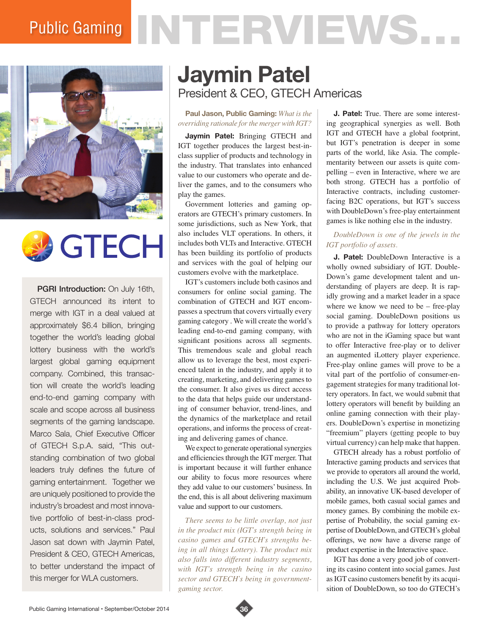# Public Gaming NTERVIEWS.





PGRI Introduction: On July 16th, GTECH announced its intent to merge with IGT in a deal valued at approximately \$6.4 billion, bringing together the world's leading global lottery business with the world's largest global gaming equipment company. Combined, this transaction will create the world's leading end-to-end gaming company with scale and scope across all business segments of the gaming landscape. Marco Sala, Chief Executive Officer of GTECH S.p.A. said, "This outstanding combination of two global leaders truly defines the future of gaming entertainment. Together we are uniquely positioned to provide the industry's broadest and most innovative portfolio of best-in-class products, solutions and services." Paul Jason sat down with Jaymin Patel, President & CEO, GTECH Americas, to better understand the impact of this merger for WLA customers.

# **Jaymin Patel** President & CEO, GTECH Americas

#### **Paul Jason, Public Gaming:** *What is the overriding rationale for the merger with IGT?*

**Jaymin Patel:** Bringing GTECH and IGT together produces the largest best-inclass supplier of products and technology in the industry. That translates into enhanced value to our customers who operate and deliver the games, and to the consumers who play the games.

Government lotteries and gaming operators are GTECH's primary customers. In some jurisdictions, such as New York, that also includes VLT operations. In others, it includes both VLTs and Interactive. GTECH has been building its portfolio of products and services with the goal of helping our customers evolve with the marketplace.

IGT's customers include both casinos and consumers for online social gaming. The combination of GTECH and IGT encompasses a spectrum that covers virtually every gaming category . We will create the world's leading end-to-end gaming company, with significant positions across all segments. This tremendous scale and global reach allow us to leverage the best, most experienced talent in the industry, and apply it to creating, marketing, and delivering games to the consumer. It also gives us direct access to the data that helps guide our understanding of consumer behavior, trend-lines, and the dynamics of the marketplace and retail operations, and informs the process of creating and delivering games of chance.

We expect to generate operational synergies and efficiencies through the IGT merger. That is important because it will further enhance our ability to focus more resources where they add value to our customers' business. In the end, this is all about delivering maximum value and support to our customers.

*There seems to be little overlap, not just in the product mix (IGT's strength being in casino games and GTECH's strengths being in all things Lottery). The product mix also falls into different industry segments, with IGT's strength being in the casino sector and GTECH's being in governmentgaming sector.* 

**J. Patel:** True. There are some interesting geographical synergies as well. Both IGT and GTECH have a global footprint, but IGT's penetration is deeper in some parts of the world, like Asia. The complementarity between our assets is quite compelling – even in Interactive, where we are both strong. GTECH has a portfolio of Interactive contracts, including customerfacing B2C operations, but IGT's success with DoubleDown's free-play entertainment games is like nothing else in the industry.

# *DoubleDown is one of the jewels in the IGT portfolio of assets.*

**J. Patel:** DoubleDown Interactive is a wholly owned subsidiary of IGT. Double-Down's game development talent and understanding of players are deep. It is rapidly growing and a market leader in a space where we know we need to be – free-play social gaming. DoubleDown positions us to provide a pathway for lottery operators who are not in the iGaming space but want to offer Interactive free-play or to deliver an augmented iLottery player experience. Free-play online games will prove to be a vital part of the portfolio of consumer-engagement strategies for many traditional lottery operators. In fact, we would submit that lottery operators will benefit by building an online gaming connection with their players. DoubleDown's expertise in monetizing "freemium" players (getting people to buy virtual currency) can help make that happen.

GTECH already has a robust portfolio of Interactive gaming products and services that we provide to operators all around the world, including the U.S. We just acquired Probability, an innovative UK-based developer of mobile games, both casual social games and money games. By combining the mobile expertise of Probability, the social gaming expertise of DoubleDown, and GTECH's global offerings, we now have a diverse range of product expertise in the Interactive space.

IGT has done a very good job of converting its casino content into social games. Just as IGT casino customers benefit by its acquisition of DoubleDown, so too do GTECH's

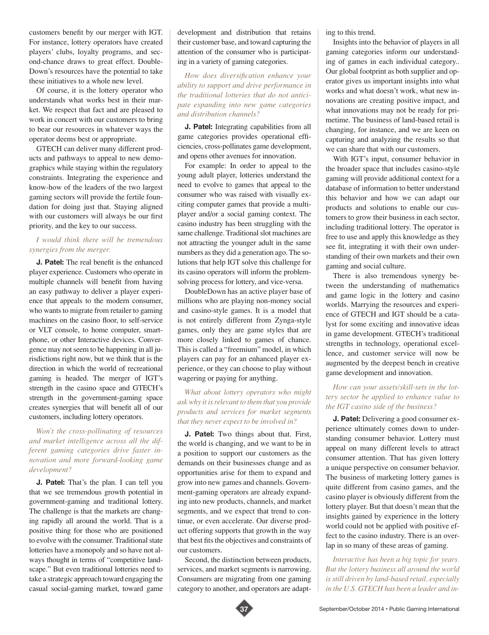customers benefit by our merger with IGT. For instance, lottery operators have created players' clubs, loyalty programs, and second-chance draws to great effect. Double-Down's resources have the potential to take these initiatives to a whole new level.

Of course, it is the lottery operator who understands what works best in their market. We respect that fact and are pleased to work in concert with our customers to bring to bear our resources in whatever ways the operator deems best or appropriate.

GTECH can deliver many different products and pathways to appeal to new demographics while staying within the regulatory constraints. Integrating the experience and know-how of the leaders of the two largest gaming sectors will provide the fertile foundation for doing just that. Staying aligned with our customers will always be our first priority, and the key to our success.

#### *I would think there will be tremendous synergies from the merger.*

**J. Patel:** The real benefit is the enhanced player experience. Customers who operate in multiple channels will benefit from having an easy pathway to deliver a player experience that appeals to the modern consumer, who wants to migrate from retailer to gaming machines on the casino floor, to self-service or VLT console, to home computer, smartphone, or other Interactive devices. Convergence may not seem to be happening in all jurisdictions right now, but we think that is the direction in which the world of recreational gaming is headed. The merger of IGT's strength in the casino space and GTECH's strength in the government-gaming space creates synergies that will benefit all of our customers, including lottery operators.

### *Won't the cross-pollinating of resources and market intelligence across all the different gaming categories drive faster innovation and more forward-looking game development?*

**J. Patel:** That's the plan. I can tell you that we see tremendous growth potential in government-gaming and traditional lottery. The challenge is that the markets are changing rapidly all around the world. That is a positive thing for those who are positioned to evolve with the consumer. Traditional state lotteries have a monopoly and so have not always thought in terms of "competitive landscape." But even traditional lotteries need to take a strategic approach toward engaging the casual social-gaming market, toward game development and distribution that retains their customer base, and toward capturing the attention of the consumer who is participating in a variety of gaming categories.

*How does diversification enhance your ability to support and drive performance in the traditional lotteries that do not anticipate expanding into new game categories and distribution channels?*

**J. Patel:** Integrating capabilities from all game categories provides operational efficiencies, cross-pollinates game development, and opens other avenues for innovation.

For example: In order to appeal to the young adult player, lotteries understand the need to evolve to games that appeal to the consumer who was raised with visually exciting computer games that provide a multiplayer and/or a social gaming context. The casino industry has been struggling with the same challenge. Traditional slot machines are not attracting the younger adult in the same numbers as they did a generation ago. The solutions that help IGT solve this challenge for its casino operators will inform the problemsolving process for lottery, and vice-versa.

DoubleDown has an active player base of millions who are playing non-money social and casino-style games. It is a model that is not entirely different from Zynga-style games, only they are game styles that are more closely linked to games of chance. This is called a "freemium" model, in which players can pay for an enhanced player experience, or they can choose to play without wagering or paying for anything.

*What about lottery operators who might ask why it is relevant to them that you provide products and services for market segments that they never expect to be involved in?*

**J. Patel:** Two things about that. First, the world is changing, and we want to be in a position to support our customers as the demands on their businesses change and as opportunities arise for them to expand and grow into new games and channels. Government-gaming operators are already expanding into new products, channels, and market segments, and we expect that trend to continue, or even accelerate. Our diverse product offering supports that growth in the way that best fits the objectives and constraints of our customers.

Second, the distinction between products, services, and market segments is narrowing. Consumers are migrating from one gaming category to another, and operators are adapting to this trend.

Insights into the behavior of players in all gaming categories inform our understanding of games in each individual category.. Our global footprint as both supplier and operator gives us important insights into what works and what doesn't work, what new innovations are creating positive impact, and what innovations may not be ready for primetime. The business of land-based retail is changing, for instance, and we are keen on capturing and analyzing the results so that we can share that with our customers.

With IGT's input, consumer behavior in the broader space that includes casino-style gaming will provide additional context for a database of information to better understand this behavior and how we can adapt our products and solutions to enable our customers to grow their business in each sector, including traditional lottery. The operator is free to use and apply this knowledge as they see fit, integrating it with their own understanding of their own markets and their own gaming and social culture.

There is also tremendous synergy between the understanding of mathematics and game logic in the lottery and casino worlds. Marrying the resources and experience of GTECH and IGT should be a catalyst for some exciting and innovative ideas in game development. GTECH's traditional strengths in technology, operational excellence, and customer service will now be augmented by the deepest bench in creative game development and innovation.

#### *How can your assets/skill-sets in the lottery sector be applied to enhance value to the IGT casino side of the business?*

**J. Patel:** Delivering a good consumer experience ultimately comes down to understanding consumer behavior. Lottery must appeal on many different levels to attract consumer attention. That has given lottery a unique perspective on consumer behavior. The business of marketing lottery games is quite different from casino games, and the casino player is obviously different from the lottery player. But that doesn't mean that the insights gained by experience in the lottery world could not be applied with positive effect to the casino industry. There is an overlap in so many of these areas of gaming.

*Interactive has been a big topic for years. But the lottery business all around the world is still driven by land-based retail, especially in the U.S. GTECH has been a leader and in-*